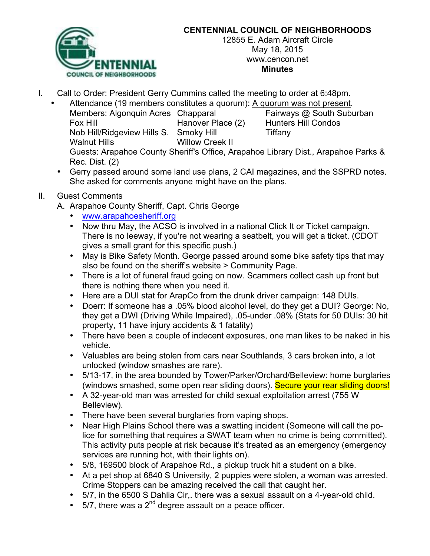

## **CENTENNIAL COUNCIL OF NEIGHBORHOODS**

12855 E. Adam Aircraft Circle May 18, 2015 www.cencon.net **Minutes**

- I. Call to Order: President Gerry Cummins called the meeting to order at 6:48pm.
	- Attendance (19 members constitutes a quorum): A quorum was not present.

Members: Algonquin Acres Chapparal Fairways @ South Suburban Fox Hill Hanover Place (2) Hunters Hill Condos Nob Hill/Ridgeview Hills S. Smoky Hill Tiffany Walnut Hills Willow Creek II Guests: Arapahoe County Sheriff's Office, Arapahoe Library Dist., Arapahoe Parks & Rec. Dist. (2)

- Gerry passed around some land use plans, 2 CAI magazines, and the SSPRD notes. She asked for comments anyone might have on the plans.
- II. Guest Comments
	- A. Arapahoe County Sheriff, Capt. Chris George
		- www.arapahoesheriff.org
		- Now thru May, the ACSO is involved in a national Click It or Ticket campaign. There is no leeway, if you're not wearing a seatbelt, you will get a ticket. (CDOT gives a small grant for this specific push.)
		- May is Bike Safety Month. George passed around some bike safety tips that may also be found on the sheriff's website > Community Page.
		- There is a lot of funeral fraud going on now. Scammers collect cash up front but there is nothing there when you need it.
		- Here are a DUI stat for ArapCo from the drunk driver campaign: 148 DUIs.
		- Doerr: If someone has a .05% blood alcohol level, do they get a DUI? George: No, they get a DWI (Driving While Impaired), .05-under .08% (Stats for 50 DUIs: 30 hit property, 11 have injury accidents & 1 fatality)
		- There have been a couple of indecent exposures, one man likes to be naked in his vehicle.
		- Valuables are being stolen from cars near Southlands, 3 cars broken into, a lot unlocked (window smashes are rare).
		- 5/13-17, in the area bounded by Tower/Parker/Orchard/Belleview: home burglaries (windows smashed, some open rear sliding doors). Secure your rear sliding doors!
		- A 32-year-old man was arrested for child sexual exploitation arrest (755 W Belleview).
		- There have been several burglaries from vaping shops.
		- Near High Plains School there was a swatting incident (Someone will call the police for something that requires a SWAT team when no crime is being committed). This activity puts people at risk because it's treated as an emergency (emergency services are running hot, with their lights on).
		- 5/8, 169500 block of Arapahoe Rd., a pickup truck hit a student on a bike.
		- At a pet shop at 6840 S University, 2 puppies were stolen, a woman was arrested. Crime Stoppers can be amazing received the call that caught her.
		- 5/7, in the 6500 S Dahlia Cir,. there was a sexual assault on a 4-year-old child.
		- $\cdot$  5/7, there was a 2<sup>nd</sup> degree assault on a peace officer.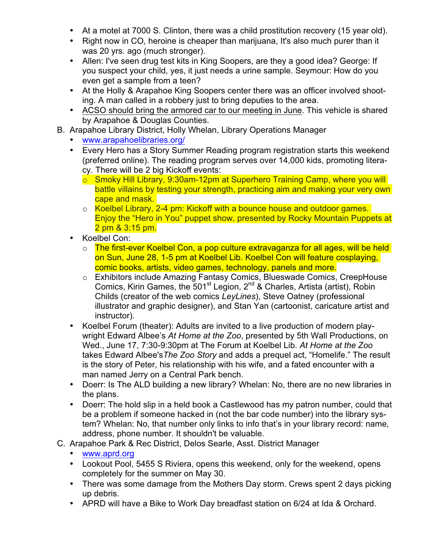- At a motel at 7000 S. Clinton, there was a child prostitution recovery (15 year old).
- Right now in CO, heroine is cheaper than marijuana, It's also much purer than it was 20 yrs. ago (much stronger).
- Allen: I've seen drug test kits in King Soopers, are they a good idea? George: If you suspect your child, yes, it just needs a urine sample. Seymour: How do you even get a sample from a teen?
- At the Holly & Arapahoe King Soopers center there was an officer involved shooting. A man called in a robbery just to bring deputies to the area.
- ACSO should bring the armored car to our meeting in June. This vehicle is shared by Arapahoe & Douglas Counties.
- B. Arapahoe Library District, Holly Whelan, Library Operations Manager
	- www.arapahoelibraries.org/
	- Every Hero has a Story Summer Reading program registration starts this weekend (preferred online). The reading program serves over 14,000 kids, promoting literacy. There will be 2 big Kickoff events:
		- o Smoky Hill Library, 9:30am-12pm at Superhero Training Camp, where you will battle villains by testing your strength, practicing aim and making your very own cape and mask.
		- o Koelbel Library, 2-4 pm: Kickoff with a bounce house and outdoor games. Enjoy the "Hero in You" puppet show, presented by Rocky Mountain Puppets at 2 pm & 3:15 pm.
	- Koelbel Con:
		- o The first-ever Koelbel Con, a pop culture extravaganza for all ages, will be held on Sun, June 28, 1-5 pm at Koelbel Lib. Koelbel Con will feature cosplaying, comic books, artists, video games, technology, panels and more.
		- o Exhibitors include Amazing Fantasy Comics, Blueswade Comics, CreepHouse Comics, Kirin Games, the  $501<sup>st</sup>$  Legion,  $2<sup>nd</sup>$  & Charles, Artista (artist), Robin Childs (creator of the web comics *LeyLines*), Steve Oatney (professional illustrator and graphic designer), and Stan Yan (cartoonist, caricature artist and instructor).
	- Koelbel Forum (theater): Adults are invited to a live production of modern playwright Edward Albee's *At Home at the Zoo*, presented by 5th Wall Productions, on Wed., June 17, 7:30-9:30pm at The Forum at Koelbel Lib. *At Home at the Zoo* takes Edward Albee's*The Zoo Story* and adds a prequel act, "Homelife." The result is the story of Peter, his relationship with his wife, and a fated encounter with a man named Jerry on a Central Park bench.
	- Doerr: Is The ALD building a new library? Whelan: No, there are no new libraries in the plans.
	- Doerr: The hold slip in a held book a Castlewood has my patron number, could that be a problem if someone hacked in (not the bar code number) into the library system? Whelan: No, that number only links to info that's in your library record: name, address, phone number. It shouldn't be valuable.
- C. Arapahoe Park & Rec District, Delos Searle, Asst. District Manager
	- www.aprd.org
	- Lookout Pool, 5455 S Riviera, opens this weekend, only for the weekend, opens completely for the summer on May 30.
	- There was some damage from the Mothers Day storm. Crews spent 2 days picking up debris.
	- APRD will have a Bike to Work Day breadfast station on 6/24 at Ida & Orchard.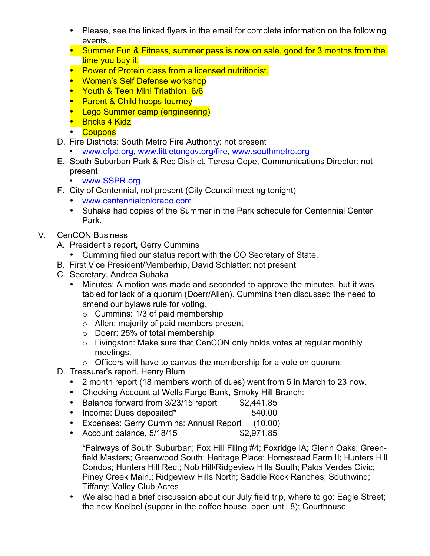- Please, see the linked flyers in the email for complete information on the following events.
- Summer Fun & Fitness, summer pass is now on sale, good for 3 months from the time you buy it.
- Power of Protein class from a licensed nutritionist.
- Women's Self Defense workshop
- Youth & Teen Mini Triathlon, 6/6
- **Parent & Child hoops tourney**
- Lego Summer camp (engineering)
- Bricks 4 Kidz
- Coupons
- D. Fire Districts: South Metro Fire Authority: not present
	- www.cfpd.org, www.littletongov.org/fire, www.southmetro.org
- E. South Suburban Park & Rec District, Teresa Cope, Communications Director: not present
	- www.SSPR.org
- F. City of Centennial, not present (City Council meeting tonight)
	- www.centennialcolorado.com
	- Suhaka had copies of the Summer in the Park schedule for Centennial Center Park.
- V. CenCON Business
	- A. President's report, Gerry Cummins
		- Cumming filed our status report with the CO Secretary of State.
	- B. First Vice President/Memberhip, David Schlatter: not present
	- C. Secretary, Andrea Suhaka
		- Minutes: A motion was made and seconded to approve the minutes, but it was tabled for lack of a quorum (Doerr/Allen). Cummins then discussed the need to amend our bylaws rule for voting.
			- $\circ$  Cummins: 1/3 of paid membership
			- o Allen: majority of paid members present
			- o Doerr: 25% of total membership
			- o Livingston: Make sure that CenCON only holds votes at regular monthly meetings.
			- o Officers will have to canvas the membership for a vote on quorum.
	- D. Treasurer's report, Henry Blum
		- 2 month report (18 members worth of dues) went from 5 in March to 23 now.
		- Checking Account at Wells Fargo Bank, Smoky Hill Branch:
		- Balance forward from 3/23/15 report \$2,441.85
		- Income: Dues deposited\* 540.00
		- Expenses: Gerry Cummins: Annual Report (10.00)
		- Account balance, 5/18/15 \$2,971.85

\*Fairways of South Suburban; Fox Hill Filing #4; Foxridge IA; Glenn Oaks; Greenfield Masters; Greenwood South; Heritage Place; Homestead Farm II; Hunters Hill Condos; Hunters Hill Rec.; Nob Hill/Ridgeview Hills South; Palos Verdes Civic; Piney Creek Main.; Ridgeview Hills North; Saddle Rock Ranches; Southwind; Tiffany; Valley Club Acres

• We also had a brief discussion about our July field trip, where to go: Eagle Street; the new Koelbel (supper in the coffee house, open until 8); Courthouse